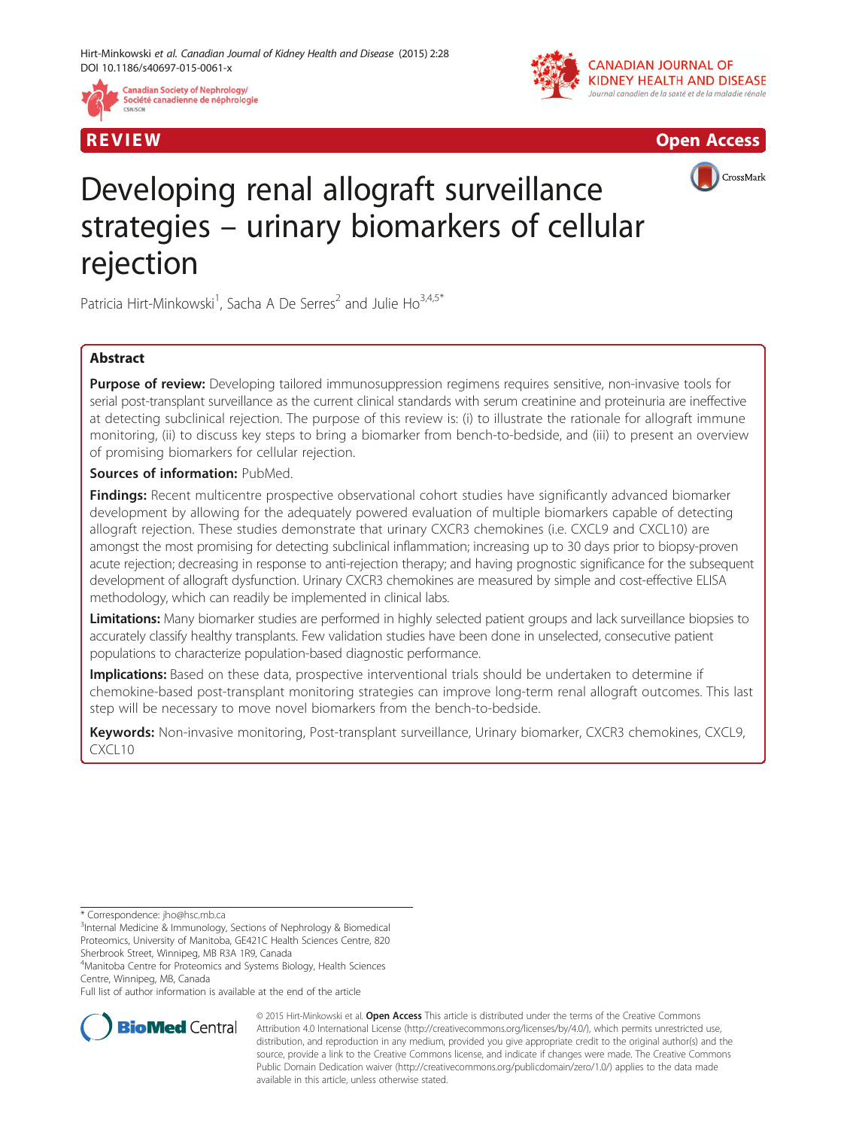

**REVIEW CONSIDERING CONSIDERING CONSIDERING CONSIDERING CONSIDERING CONSIDERING CONSIDERING CONSIDERING CONSIDERING CONSIDERING CONSIDERING CONSIDERING CONSIDERING CONSIDERING CONSIDERING CONSIDERING CONSIDERING CONSIDER** 





# Developing renal allograft surveillance strategies – urinary biomarkers of cellular rejection

Patricia Hirt-Minkowski<sup>1</sup>, Sacha A De Serres<sup>2</sup> and Julie Ho<sup>3,4,5\*</sup>

# Abstract

Purpose of review: Developing tailored immunosuppression regimens requires sensitive, non-invasive tools for serial post-transplant surveillance as the current clinical standards with serum creatinine and proteinuria are ineffective at detecting subclinical rejection. The purpose of this review is: (i) to illustrate the rationale for allograft immune monitoring, (ii) to discuss key steps to bring a biomarker from bench-to-bedside, and (iii) to present an overview of promising biomarkers for cellular rejection.

## Sources of information: PubMed.

Findings: Recent multicentre prospective observational cohort studies have significantly advanced biomarker development by allowing for the adequately powered evaluation of multiple biomarkers capable of detecting allograft rejection. These studies demonstrate that urinary CXCR3 chemokines (i.e. CXCL9 and CXCL10) are amongst the most promising for detecting subclinical inflammation; increasing up to 30 days prior to biopsy-proven acute rejection; decreasing in response to anti-rejection therapy; and having prognostic significance for the subsequent development of allograft dysfunction. Urinary CXCR3 chemokines are measured by simple and cost-effective ELISA methodology, which can readily be implemented in clinical labs.

Limitations: Many biomarker studies are performed in highly selected patient groups and lack surveillance biopsies to accurately classify healthy transplants. Few validation studies have been done in unselected, consecutive patient populations to characterize population-based diagnostic performance.

Implications: Based on these data, prospective interventional trials should be undertaken to determine if chemokine-based post-transplant monitoring strategies can improve long-term renal allograft outcomes. This last step will be necessary to move novel biomarkers from the bench-to-bedside.

Keywords: Non-invasive monitoring, Post-transplant surveillance, Urinary biomarker, CXCR3 chemokines, CXCL9, CXCL10

\* Correspondence: [jho@hsc.mb.ca](mailto:jho@hsc.mb.ca) <sup>3</sup>

<sup>3</sup>Internal Medicine & Immunology, Sections of Nephrology & Biomedical Proteomics, University of Manitoba, GE421C Health Sciences Centre, 820 Sherbrook Street, Winnipeg, MB R3A 1R9, Canada

4 Manitoba Centre for Proteomics and Systems Biology, Health Sciences Centre, Winnipeg, MB, Canada

Full list of author information is available at the end of the article



© 2015 Hirt-Minkowski et al. Open Access This article is distributed under the terms of the Creative Commons Attribution 4.0 International License [\(http://creativecommons.org/licenses/by/4.0/\)](http://creativecommons.org/licenses/by/4.0/), which permits unrestricted use, distribution, and reproduction in any medium, provided you give appropriate credit to the original author(s) and the source, provide a link to the Creative Commons license, and indicate if changes were made. The Creative Commons Public Domain Dedication waiver ([http://creativecommons.org/publicdomain/zero/1.0/\)](http://creativecommons.org/publicdomain/zero/1.0/) applies to the data made available in this article, unless otherwise stated.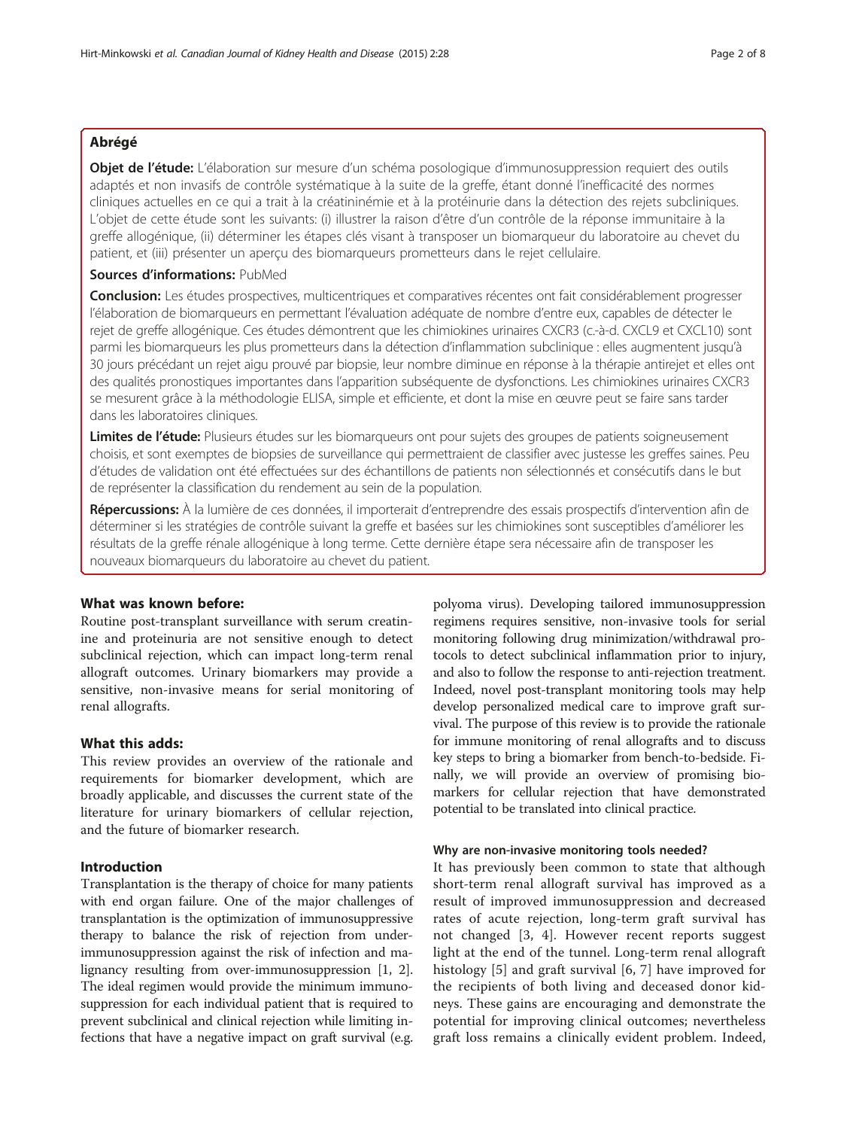## Abrégé

Objet de l'étude: L'élaboration sur mesure d'un schéma posologique d'immunosuppression requiert des outils adaptés et non invasifs de contrôle systématique à la suite de la greffe, étant donné l'inefficacité des normes cliniques actuelles en ce qui a trait à la créatininémie et à la protéinurie dans la détection des rejets subcliniques. L'objet de cette étude sont les suivants: (i) illustrer la raison d'être d'un contrôle de la réponse immunitaire à la greffe allogénique, (ii) déterminer les étapes clés visant à transposer un biomarqueur du laboratoire au chevet du patient, et (iii) présenter un aperçu des biomarqueurs prometteurs dans le rejet cellulaire.

## Sources d'informations: PubMed

Conclusion: Les études prospectives, multicentriques et comparatives récentes ont fait considérablement progresser l'élaboration de biomarqueurs en permettant l'évaluation adéquate de nombre d'entre eux, capables de détecter le rejet de greffe allogénique. Ces études démontrent que les chimiokines urinaires CXCR3 (c.-à-d. CXCL9 et CXCL10) sont parmi les biomarqueurs les plus prometteurs dans la détection d'inflammation subclinique : elles augmentent jusqu'à 30 jours précédant un rejet aigu prouvé par biopsie, leur nombre diminue en réponse à la thérapie antirejet et elles ont des qualités pronostiques importantes dans l'apparition subséquente de dysfonctions. Les chimiokines urinaires CXCR3 se mesurent grâce à la méthodologie ELISA, simple et efficiente, et dont la mise en œuvre peut se faire sans tarder dans les laboratoires cliniques.

Limites de l'étude: Plusieurs études sur les biomarqueurs ont pour sujets des groupes de patients soigneusement choisis, et sont exemptes de biopsies de surveillance qui permettraient de classifier avec justesse les greffes saines. Peu d'études de validation ont été effectuées sur des échantillons de patients non sélectionnés et consécutifs dans le but de représenter la classification du rendement au sein de la population.

Répercussions: À la lumière de ces données, il importerait d'entreprendre des essais prospectifs d'intervention afin de déterminer si les stratégies de contrôle suivant la greffe et basées sur les chimiokines sont susceptibles d'améliorer les résultats de la greffe rénale allogénique à long terme. Cette dernière étape sera nécessaire afin de transposer les nouveaux biomarqueurs du laboratoire au chevet du patient.

#### What was known before:

Routine post-transplant surveillance with serum creatinine and proteinuria are not sensitive enough to detect subclinical rejection, which can impact long-term renal allograft outcomes. Urinary biomarkers may provide a sensitive, non-invasive means for serial monitoring of renal allografts.

## What this adds:

This review provides an overview of the rationale and requirements for biomarker development, which are broadly applicable, and discusses the current state of the literature for urinary biomarkers of cellular rejection, and the future of biomarker research.

## Introduction

Transplantation is the therapy of choice for many patients with end organ failure. One of the major challenges of transplantation is the optimization of immunosuppressive therapy to balance the risk of rejection from underimmunosuppression against the risk of infection and malignancy resulting from over-immunosuppression [[1, 2](#page-6-0)]. The ideal regimen would provide the minimum immunosuppression for each individual patient that is required to prevent subclinical and clinical rejection while limiting infections that have a negative impact on graft survival (e.g.

polyoma virus). Developing tailored immunosuppression regimens requires sensitive, non-invasive tools for serial monitoring following drug minimization/withdrawal protocols to detect subclinical inflammation prior to injury, and also to follow the response to anti-rejection treatment. Indeed, novel post-transplant monitoring tools may help develop personalized medical care to improve graft survival. The purpose of this review is to provide the rationale for immune monitoring of renal allografts and to discuss key steps to bring a biomarker from bench-to-bedside. Finally, we will provide an overview of promising biomarkers for cellular rejection that have demonstrated potential to be translated into clinical practice.

#### Why are non-invasive monitoring tools needed?

It has previously been common to state that although short-term renal allograft survival has improved as a result of improved immunosuppression and decreased rates of acute rejection, long-term graft survival has not changed [[3](#page-6-0), [4](#page-6-0)]. However recent reports suggest light at the end of the tunnel. Long-term renal allograft histology [[5\]](#page-6-0) and graft survival [[6](#page-7-0), [7](#page-7-0)] have improved for the recipients of both living and deceased donor kidneys. These gains are encouraging and demonstrate the potential for improving clinical outcomes; nevertheless graft loss remains a clinically evident problem. Indeed,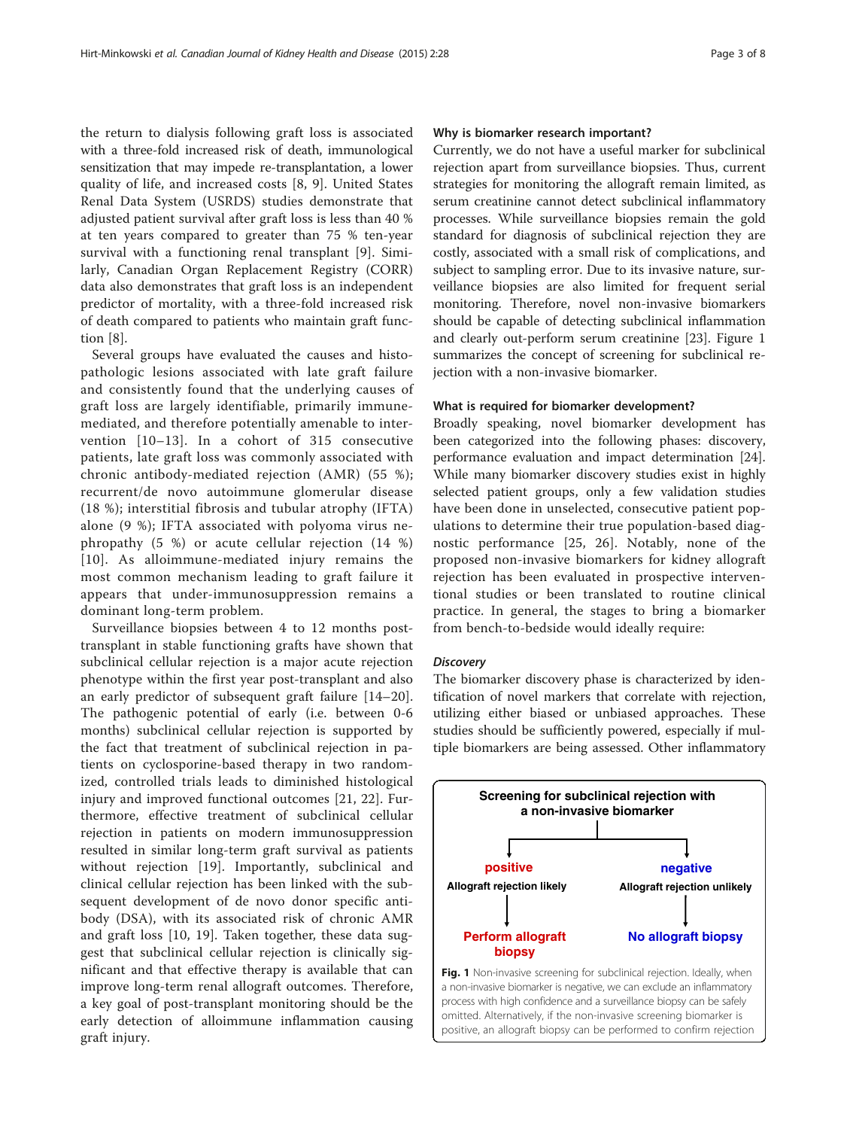the return to dialysis following graft loss is associated with a three-fold increased risk of death, immunological sensitization that may impede re-transplantation, a lower quality of life, and increased costs [[8, 9\]](#page-7-0). United States Renal Data System (USRDS) studies demonstrate that adjusted patient survival after graft loss is less than 40 % at ten years compared to greater than 75 % ten-year survival with a functioning renal transplant [\[9](#page-7-0)]. Similarly, Canadian Organ Replacement Registry (CORR) data also demonstrates that graft loss is an independent predictor of mortality, with a three-fold increased risk of death compared to patients who maintain graft function [\[8](#page-7-0)].

Several groups have evaluated the causes and histopathologic lesions associated with late graft failure and consistently found that the underlying causes of graft loss are largely identifiable, primarily immunemediated, and therefore potentially amenable to intervention [\[10](#page-7-0)–[13](#page-7-0)]. In a cohort of 315 consecutive patients, late graft loss was commonly associated with chronic antibody-mediated rejection (AMR) (55 %); recurrent/de novo autoimmune glomerular disease (18 %); interstitial fibrosis and tubular atrophy (IFTA) alone (9 %); IFTA associated with polyoma virus nephropathy (5 %) or acute cellular rejection (14 %) [[10](#page-7-0)]. As alloimmune-mediated injury remains the most common mechanism leading to graft failure it appears that under-immunosuppression remains a dominant long-term problem.

Surveillance biopsies between 4 to 12 months posttransplant in stable functioning grafts have shown that subclinical cellular rejection is a major acute rejection phenotype within the first year post-transplant and also an early predictor of subsequent graft failure [[14](#page-7-0)–[20](#page-7-0)]. The pathogenic potential of early (i.e. between 0-6 months) subclinical cellular rejection is supported by the fact that treatment of subclinical rejection in patients on cyclosporine-based therapy in two randomized, controlled trials leads to diminished histological injury and improved functional outcomes [\[21](#page-7-0), [22](#page-7-0)]. Furthermore, effective treatment of subclinical cellular rejection in patients on modern immunosuppression resulted in similar long-term graft survival as patients without rejection [[19\]](#page-7-0). Importantly, subclinical and clinical cellular rejection has been linked with the subsequent development of de novo donor specific antibody (DSA), with its associated risk of chronic AMR and graft loss [[10, 19\]](#page-7-0). Taken together, these data suggest that subclinical cellular rejection is clinically significant and that effective therapy is available that can improve long-term renal allograft outcomes. Therefore, a key goal of post-transplant monitoring should be the early detection of alloimmune inflammation causing graft injury.

#### Why is biomarker research important?

Currently, we do not have a useful marker for subclinical rejection apart from surveillance biopsies. Thus, current strategies for monitoring the allograft remain limited, as serum creatinine cannot detect subclinical inflammatory processes. While surveillance biopsies remain the gold standard for diagnosis of subclinical rejection they are costly, associated with a small risk of complications, and subject to sampling error. Due to its invasive nature, surveillance biopsies are also limited for frequent serial monitoring. Therefore, novel non-invasive biomarkers should be capable of detecting subclinical inflammation and clearly out-perform serum creatinine [[23\]](#page-7-0). Figure 1 summarizes the concept of screening for subclinical rejection with a non-invasive biomarker.

## What is required for biomarker development?

Broadly speaking, novel biomarker development has been categorized into the following phases: discovery, performance evaluation and impact determination [\[24](#page-7-0)]. While many biomarker discovery studies exist in highly selected patient groups, only a few validation studies have been done in unselected, consecutive patient populations to determine their true population-based diagnostic performance [[25, 26\]](#page-7-0). Notably, none of the proposed non-invasive biomarkers for kidney allograft rejection has been evaluated in prospective interventional studies or been translated to routine clinical practice. In general, the stages to bring a biomarker from bench-to-bedside would ideally require:

#### **Discovery**

The biomarker discovery phase is characterized by identification of novel markers that correlate with rejection, utilizing either biased or unbiased approaches. These studies should be sufficiently powered, especially if multiple biomarkers are being assessed. Other inflammatory



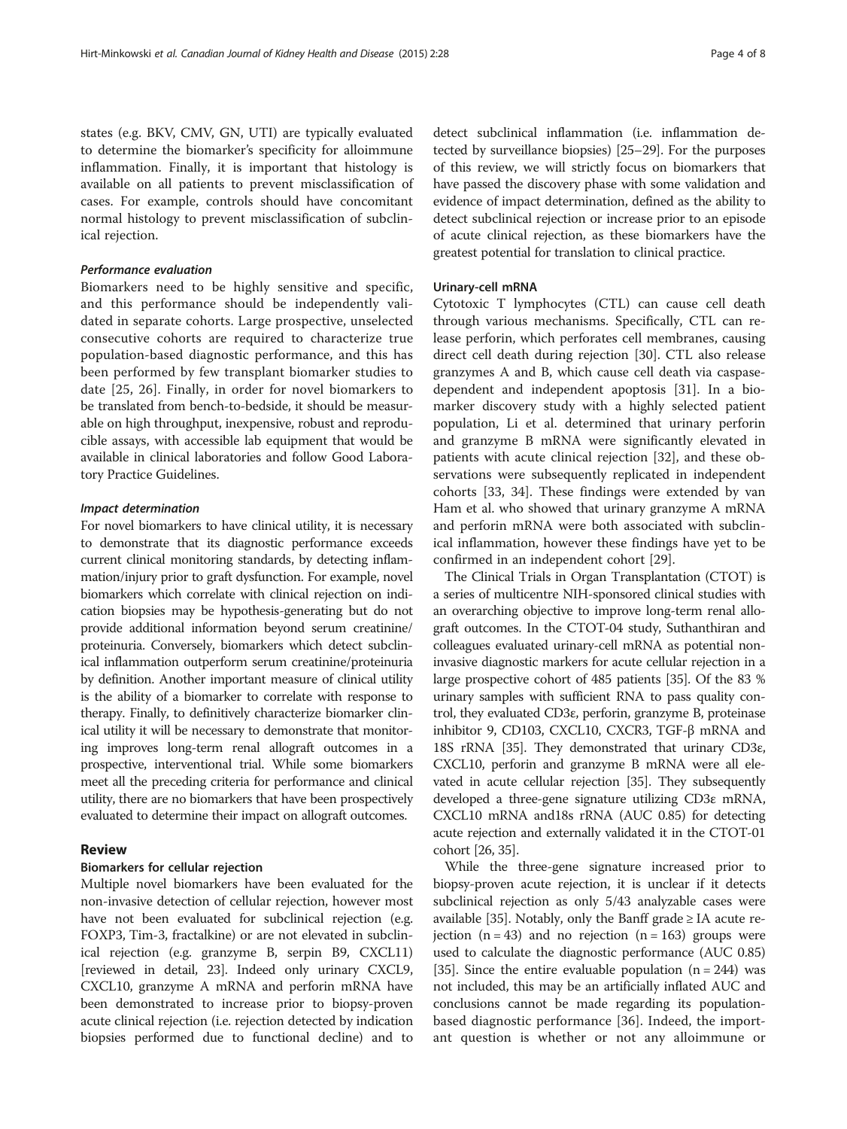states (e.g. BKV, CMV, GN, UTI) are typically evaluated to determine the biomarker's specificity for alloimmune inflammation. Finally, it is important that histology is available on all patients to prevent misclassification of cases. For example, controls should have concomitant normal histology to prevent misclassification of subclinical rejection.

#### Performance evaluation

Biomarkers need to be highly sensitive and specific, and this performance should be independently validated in separate cohorts. Large prospective, unselected consecutive cohorts are required to characterize true population-based diagnostic performance, and this has been performed by few transplant biomarker studies to date [\[25](#page-7-0), [26\]](#page-7-0). Finally, in order for novel biomarkers to be translated from bench-to-bedside, it should be measurable on high throughput, inexpensive, robust and reproducible assays, with accessible lab equipment that would be available in clinical laboratories and follow Good Laboratory Practice Guidelines.

#### Impact determination

For novel biomarkers to have clinical utility, it is necessary to demonstrate that its diagnostic performance exceeds current clinical monitoring standards, by detecting inflammation/injury prior to graft dysfunction. For example, novel biomarkers which correlate with clinical rejection on indication biopsies may be hypothesis-generating but do not provide additional information beyond serum creatinine/ proteinuria. Conversely, biomarkers which detect subclinical inflammation outperform serum creatinine/proteinuria by definition. Another important measure of clinical utility is the ability of a biomarker to correlate with response to therapy. Finally, to definitively characterize biomarker clinical utility it will be necessary to demonstrate that monitoring improves long-term renal allograft outcomes in a prospective, interventional trial. While some biomarkers meet all the preceding criteria for performance and clinical utility, there are no biomarkers that have been prospectively evaluated to determine their impact on allograft outcomes.

## Review

#### Biomarkers for cellular rejection

Multiple novel biomarkers have been evaluated for the non-invasive detection of cellular rejection, however most have not been evaluated for subclinical rejection (e.g. FOXP3, Tim-3, fractalkine) or are not elevated in subclinical rejection (e.g. granzyme B, serpin B9, CXCL11) [reviewed in detail, 23]. Indeed only urinary CXCL9, CXCL10, granzyme A mRNA and perforin mRNA have been demonstrated to increase prior to biopsy-proven acute clinical rejection (i.e. rejection detected by indication biopsies performed due to functional decline) and to

detect subclinical inflammation (i.e. inflammation detected by surveillance biopsies) [\[25](#page-7-0)–[29\]](#page-7-0). For the purposes of this review, we will strictly focus on biomarkers that have passed the discovery phase with some validation and evidence of impact determination, defined as the ability to detect subclinical rejection or increase prior to an episode of acute clinical rejection, as these biomarkers have the greatest potential for translation to clinical practice.

## Urinary-cell mRNA

Cytotoxic T lymphocytes (CTL) can cause cell death through various mechanisms. Specifically, CTL can release perforin, which perforates cell membranes, causing direct cell death during rejection [\[30](#page-7-0)]. CTL also release granzymes A and B, which cause cell death via caspasedependent and independent apoptosis [\[31](#page-7-0)]. In a biomarker discovery study with a highly selected patient population, Li et al. determined that urinary perforin and granzyme B mRNA were significantly elevated in patients with acute clinical rejection [[32](#page-7-0)], and these observations were subsequently replicated in independent cohorts [\[33, 34](#page-7-0)]. These findings were extended by van Ham et al. who showed that urinary granzyme A mRNA and perforin mRNA were both associated with subclinical inflammation, however these findings have yet to be confirmed in an independent cohort [[29\]](#page-7-0).

The Clinical Trials in Organ Transplantation (CTOT) is a series of multicentre NIH-sponsored clinical studies with an overarching objective to improve long-term renal allograft outcomes. In the CTOT-04 study, Suthanthiran and colleagues evaluated urinary-cell mRNA as potential noninvasive diagnostic markers for acute cellular rejection in a large prospective cohort of 485 patients [\[35\]](#page-7-0). Of the 83 % urinary samples with sufficient RNA to pass quality control, they evaluated CD3ε, perforin, granzyme B, proteinase inhibitor 9, CD103, CXCL10, CXCR3, TGF-β mRNA and 18S rRNA [\[35](#page-7-0)]. They demonstrated that urinary CD3ε, CXCL10, perforin and granzyme B mRNA were all elevated in acute cellular rejection [[35](#page-7-0)]. They subsequently developed a three-gene signature utilizing CD3ε mRNA, CXCL10 mRNA and18s rRNA (AUC 0.85) for detecting acute rejection and externally validated it in the CTOT-01 cohort [\[26, 35\]](#page-7-0).

While the three-gene signature increased prior to biopsy-proven acute rejection, it is unclear if it detects subclinical rejection as only 5/43 analyzable cases were available [[35](#page-7-0)]. Notably, only the Banff grade  $\geq$  IA acute rejection  $(n = 43)$  and no rejection  $(n = 163)$  groups were used to calculate the diagnostic performance (AUC 0.85) [[35](#page-7-0)]. Since the entire evaluable population  $(n = 244)$  was not included, this may be an artificially inflated AUC and conclusions cannot be made regarding its populationbased diagnostic performance [[36\]](#page-7-0). Indeed, the important question is whether or not any alloimmune or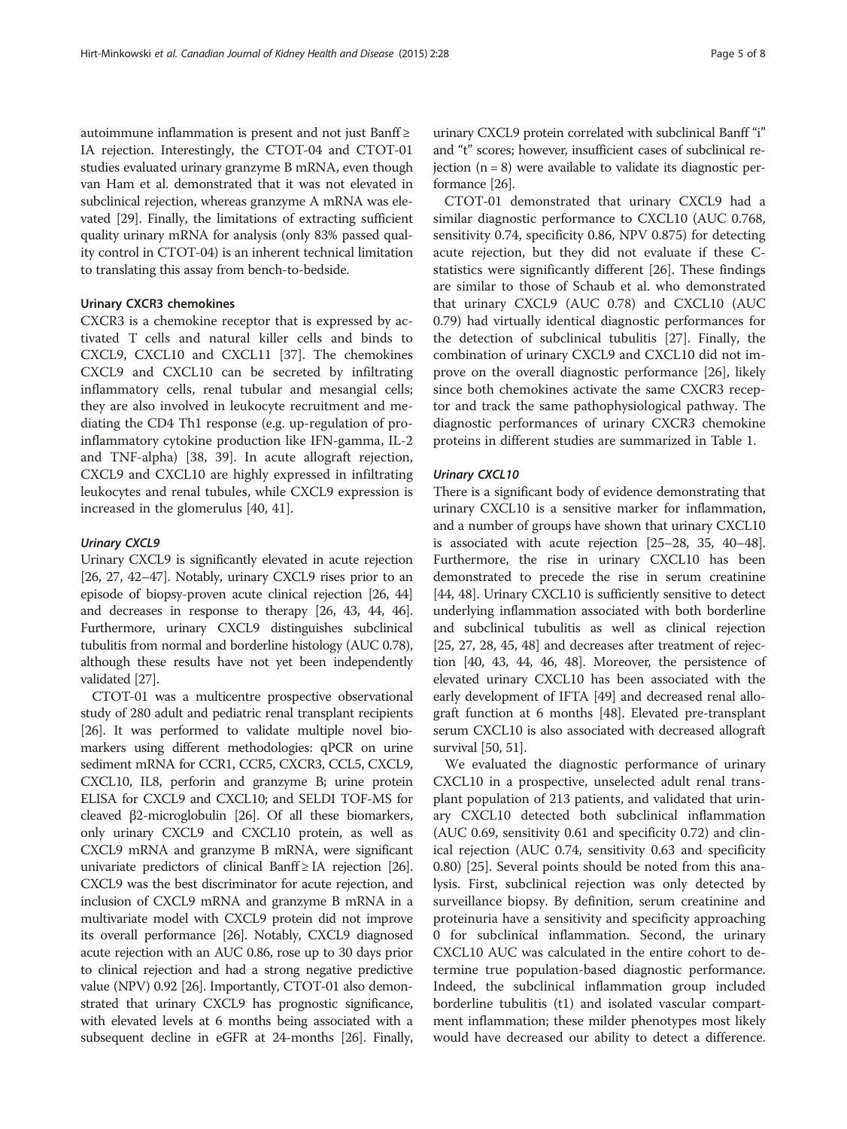autoimmune inflammation is present and not just Banff ≥ IA rejection. Interestingly, the CTOT-04 and CTOT-01 studies evaluated urinary granzyme B mRNA, even though van Ham et al. demonstrated that it was not elevated in subclinical rejection, whereas granzyme A mRNA was elevated [[29\]](#page-7-0). Finally, the limitations of extracting sufficient quality urinary mRNA for analysis (only 83% passed quality control in CTOT-04) is an inherent technical limitation to translating this assay from bench-to-bedside.

### Urinary CXCR3 chemokines

CXCR3 is a chemokine receptor that is expressed by activated T cells and natural killer cells and binds to CXCL9, CXCL10 and CXCL11 [[37](#page-7-0)]. The chemokines CXCL9 and CXCL10 can be secreted by infiltrating inflammatory cells, renal tubular and mesangial cells; they are also involved in leukocyte recruitment and mediating the CD4 Th1 response (e.g. up-regulation of proinflammatory cytokine production like IFN-gamma, IL-2 and TNF-alpha) [[38, 39](#page-7-0)]. In acute allograft rejection, CXCL9 and CXCL10 are highly expressed in infiltrating leukocytes and renal tubules, while CXCL9 expression is increased in the glomerulus [\[40](#page-7-0), [41](#page-7-0)].

## Urinary CXCL9

Urinary CXCL9 is significantly elevated in acute rejection [[26](#page-7-0), [27](#page-7-0), [42](#page-7-0)–[47\]](#page-7-0). Notably, urinary CXCL9 rises prior to an episode of biopsy-proven acute clinical rejection [\[26, 44](#page-7-0)] and decreases in response to therapy [[26](#page-7-0), [43](#page-7-0), [44](#page-7-0), [46](#page-7-0)]. Furthermore, urinary CXCL9 distinguishes subclinical tubulitis from normal and borderline histology (AUC 0.78), although these results have not yet been independently validated [\[27\]](#page-7-0).

CTOT-01 was a multicentre prospective observational study of 280 adult and pediatric renal transplant recipients [[26](#page-7-0)]. It was performed to validate multiple novel biomarkers using different methodologies: qPCR on urine sediment mRNA for CCR1, CCR5, CXCR3, CCL5, CXCL9, CXCL10, IL8, perforin and granzyme B; urine protein ELISA for CXCL9 and CXCL10; and SELDI TOF-MS for cleaved β2-microglobulin [[26](#page-7-0)]. Of all these biomarkers, only urinary CXCL9 and CXCL10 protein, as well as CXCL9 mRNA and granzyme B mRNA, were significant univariate predictors of clinical Banff  $\geq$  IA rejection [[26](#page-7-0)]. CXCL9 was the best discriminator for acute rejection, and inclusion of CXCL9 mRNA and granzyme B mRNA in a multivariate model with CXCL9 protein did not improve its overall performance [\[26\]](#page-7-0). Notably, CXCL9 diagnosed acute rejection with an AUC 0.86, rose up to 30 days prior to clinical rejection and had a strong negative predictive value (NPV) 0.92 [\[26\]](#page-7-0). Importantly, CTOT-01 also demonstrated that urinary CXCL9 has prognostic significance, with elevated levels at 6 months being associated with a subsequent decline in eGFR at 24-months [[26](#page-7-0)]. Finally,

urinary CXCL9 protein correlated with subclinical Banff "i" and "t" scores; however, insufficient cases of subclinical rejection  $(n = 8)$  were available to validate its diagnostic performance [[26](#page-7-0)].

CTOT-01 demonstrated that urinary CXCL9 had a similar diagnostic performance to CXCL10 (AUC 0.768, sensitivity 0.74, specificity 0.86, NPV 0.875) for detecting acute rejection, but they did not evaluate if these Cstatistics were significantly different [\[26](#page-7-0)]. These findings are similar to those of Schaub et al. who demonstrated that urinary CXCL9 (AUC 0.78) and CXCL10 (AUC 0.79) had virtually identical diagnostic performances for the detection of subclinical tubulitis [[27](#page-7-0)]. Finally, the combination of urinary CXCL9 and CXCL10 did not improve on the overall diagnostic performance [\[26\]](#page-7-0), likely since both chemokines activate the same CXCR3 receptor and track the same pathophysiological pathway. The diagnostic performances of urinary CXCR3 chemokine proteins in different studies are summarized in Table [1.](#page-5-0)

#### Urinary CXCL10

There is a significant body of evidence demonstrating that urinary CXCL10 is a sensitive marker for inflammation, and a number of groups have shown that urinary CXCL10 is associated with acute rejection [[25](#page-7-0)–[28, 35](#page-7-0), [40](#page-7-0)–[48](#page-7-0)]. Furthermore, the rise in urinary CXCL10 has been demonstrated to precede the rise in serum creatinine [[44](#page-7-0), [48](#page-7-0)]. Urinary CXCL10 is sufficiently sensitive to detect underlying inflammation associated with both borderline and subclinical tubulitis as well as clinical rejection [[25](#page-7-0), [27](#page-7-0), [28](#page-7-0), [45, 48\]](#page-7-0) and decreases after treatment of rejection [\[40, 43, 44, 46, 48\]](#page-7-0). Moreover, the persistence of elevated urinary CXCL10 has been associated with the early development of IFTA [[49](#page-7-0)] and decreased renal allograft function at 6 months [[48](#page-7-0)]. Elevated pre-transplant serum CXCL10 is also associated with decreased allograft survival [\[50](#page-7-0), [51](#page-7-0)].

We evaluated the diagnostic performance of urinary CXCL10 in a prospective, unselected adult renal transplant population of 213 patients, and validated that urinary CXCL10 detected both subclinical inflammation (AUC 0.69, sensitivity 0.61 and specificity 0.72) and clinical rejection (AUC 0.74, sensitivity 0.63 and specificity 0.80) [\[25\]](#page-7-0). Several points should be noted from this analysis. First, subclinical rejection was only detected by surveillance biopsy. By definition, serum creatinine and proteinuria have a sensitivity and specificity approaching 0 for subclinical inflammation. Second, the urinary CXCL10 AUC was calculated in the entire cohort to determine true population-based diagnostic performance. Indeed, the subclinical inflammation group included borderline tubulitis (t1) and isolated vascular compartment inflammation; these milder phenotypes most likely would have decreased our ability to detect a difference.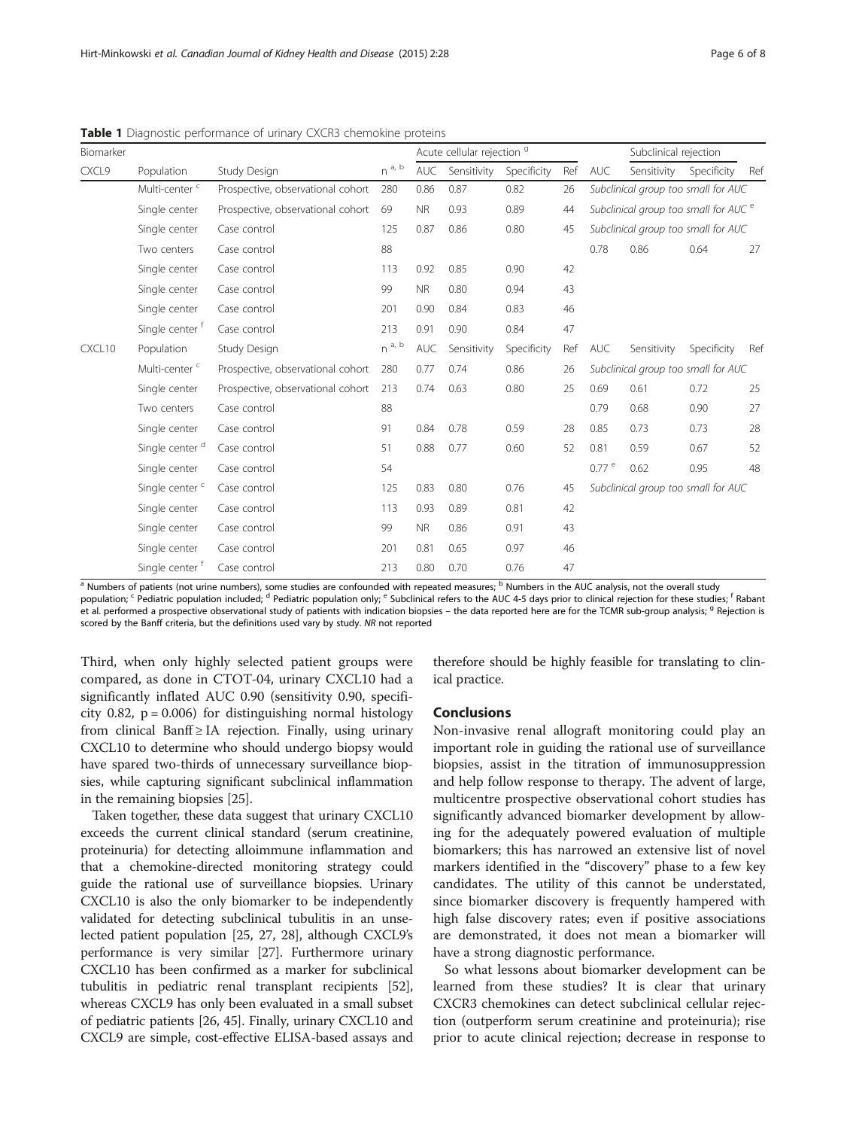| Biomarker |                            |                                   |                   | Acute cellular rejection 9 |             |             |     |                                                  | Subclinical rejection |             |     |
|-----------|----------------------------|-----------------------------------|-------------------|----------------------------|-------------|-------------|-----|--------------------------------------------------|-----------------------|-------------|-----|
| CXCL9     | Population                 | Study Design                      | $n^{a, b}$        | AUC                        | Sensitivity | Specificity | Ref | <b>AUC</b>                                       | Sensitivity           | Specificity | Ref |
|           | Multi-center <sup>c</sup>  | Prospective, observational cohort | 280               | 0.86                       | 0.87        | 0.82        | 26  | Subclinical group too small for AUC              |                       |             |     |
|           | Single center              | Prospective, observational cohort | 69                | <b>NR</b>                  | 0.93        | 0.89        | 44  | Subclinical group too small for AUC <sup>e</sup> |                       |             |     |
|           | Single center              | Case control                      | 125               | 0.87                       | 0.86        | 0.80        | 45  | Subclinical group too small for AUC              |                       |             |     |
|           | Two centers                | Case control                      | 88                |                            |             |             |     | 0.78                                             | 0.86                  | 0.64        | 27  |
|           | Single center              | Case control                      | 113               | 0.92                       | 0.85        | 0.90        | 42  |                                                  |                       |             |     |
|           | Single center              | Case control                      | 99                | <b>NR</b>                  | 0.80        | 0.94        | 43  |                                                  |                       |             |     |
|           | Single center              | Case control                      | 201               | 0.90                       | 0.84        | 0.83        | 46  |                                                  |                       |             |     |
|           | Single center <sup>†</sup> | Case control                      | 213               | 0.91                       | 0.90        | 0.84        | 47  |                                                  |                       |             |     |
| CXCL10    | Population                 | Study Design                      | n <sup>a, b</sup> | <b>AUC</b>                 | Sensitivity | Specificity | Ref | <b>AUC</b>                                       | Sensitivity           | Specificity | Ref |
|           | Multi-center <sup>c</sup>  | Prospective, observational cohort | 280               | 0.77                       | 0.74        | 0.86        | 26  | Subclinical group too small for AUC              |                       |             |     |
|           | Single center              | Prospective, observational cohort | 213               | 0.74                       | 0.63        | 0.80        | 25  | 0.69                                             | 0.61                  | 0.72        | 25  |
|           | Two centers                | Case control                      | 88                |                            |             |             |     | 0.79                                             | 0.68                  | 0.90        | 27  |
|           | Single center              | Case control                      | 91                | 0.84                       | 0.78        | 0.59        | 28  | 0.85                                             | 0.73                  | 0.73        | 28  |
|           | Single center <sup>d</sup> | Case control                      | 51                | 0.88                       | 0.77        | 0.60        | 52  | 0.81                                             | 0.59                  | 0.67        | 52  |
|           | Single center              | Case control                      | 54                |                            |             |             |     | 0.77e                                            | 0.62                  | 0.95        | 48  |
|           | Single center <sup>c</sup> | Case control                      | 125               | 0.83                       | 0.80        | 0.76        | 45  | Subclinical group too small for AUC              |                       |             |     |
|           | Single center              | Case control                      | 113               | 0.93                       | 0.89        | 0.81        | 42  |                                                  |                       |             |     |
|           | Single center              | Case control                      | 99                | <b>NR</b>                  | 0.86        | 0.91        | 43  |                                                  |                       |             |     |
|           | Single center              | Case control                      | 201               | 0.81                       | 0.65        | 0.97        | 46  |                                                  |                       |             |     |
|           | Single center <sup>†</sup> | Case control                      | 213               | 0.80                       | 0.70        | 0.76        | 47  |                                                  |                       |             |     |

<span id="page-5-0"></span>Table 1 Diagnostic performance of urinary CXCR3 chemokine proteins

<sup>a</sup> Numbers of patients (not urine numbers), some studies are confounded with repeated measures; <sup>b</sup> Numbers in the AUC analysis, not the overall study population; <sup>c</sup> Pediatric population included; <sup>d</sup> Pediatric population only; <sup>e</sup> Subclinical refers to the AUC 4-5 days prior to clinical rejection for these studies; <sup>f</sup> Rabant et al. performed a prospective observational study of patients with indication biopsies – the data reported here are for the TCMR sub-group analysis; <sup>9</sup> Rejection is scored by the Banff criteria, but the definitions used vary by study. NR not reported

Third, when only highly selected patient groups were compared, as done in CTOT-04, urinary CXCL10 had a significantly inflated AUC 0.90 (sensitivity 0.90, specificity 0.82,  $p = 0.006$ ) for distinguishing normal histology from clinical Banff  $\geq$  IA rejection. Finally, using urinary CXCL10 to determine who should undergo biopsy would have spared two-thirds of unnecessary surveillance biopsies, while capturing significant subclinical inflammation in the remaining biopsies [[25](#page-7-0)].

Taken together, these data suggest that urinary CXCL10 exceeds the current clinical standard (serum creatinine, proteinuria) for detecting alloimmune inflammation and that a chemokine-directed monitoring strategy could guide the rational use of surveillance biopsies. Urinary CXCL10 is also the only biomarker to be independently validated for detecting subclinical tubulitis in an unselected patient population [\[25](#page-7-0), [27, 28](#page-7-0)], although CXCL9's performance is very similar [\[27\]](#page-7-0). Furthermore urinary CXCL10 has been confirmed as a marker for subclinical tubulitis in pediatric renal transplant recipients [[52](#page-7-0)], whereas CXCL9 has only been evaluated in a small subset of pediatric patients [[26](#page-7-0), [45\]](#page-7-0). Finally, urinary CXCL10 and CXCL9 are simple, cost-effective ELISA-based assays and

therefore should be highly feasible for translating to clinical practice.

#### Conclusions

Non-invasive renal allograft monitoring could play an important role in guiding the rational use of surveillance biopsies, assist in the titration of immunosuppression and help follow response to therapy. The advent of large, multicentre prospective observational cohort studies has significantly advanced biomarker development by allowing for the adequately powered evaluation of multiple biomarkers; this has narrowed an extensive list of novel markers identified in the "discovery" phase to a few key candidates. The utility of this cannot be understated, since biomarker discovery is frequently hampered with high false discovery rates; even if positive associations are demonstrated, it does not mean a biomarker will have a strong diagnostic performance.

So what lessons about biomarker development can be learned from these studies? It is clear that urinary CXCR3 chemokines can detect subclinical cellular rejection (outperform serum creatinine and proteinuria); rise prior to acute clinical rejection; decrease in response to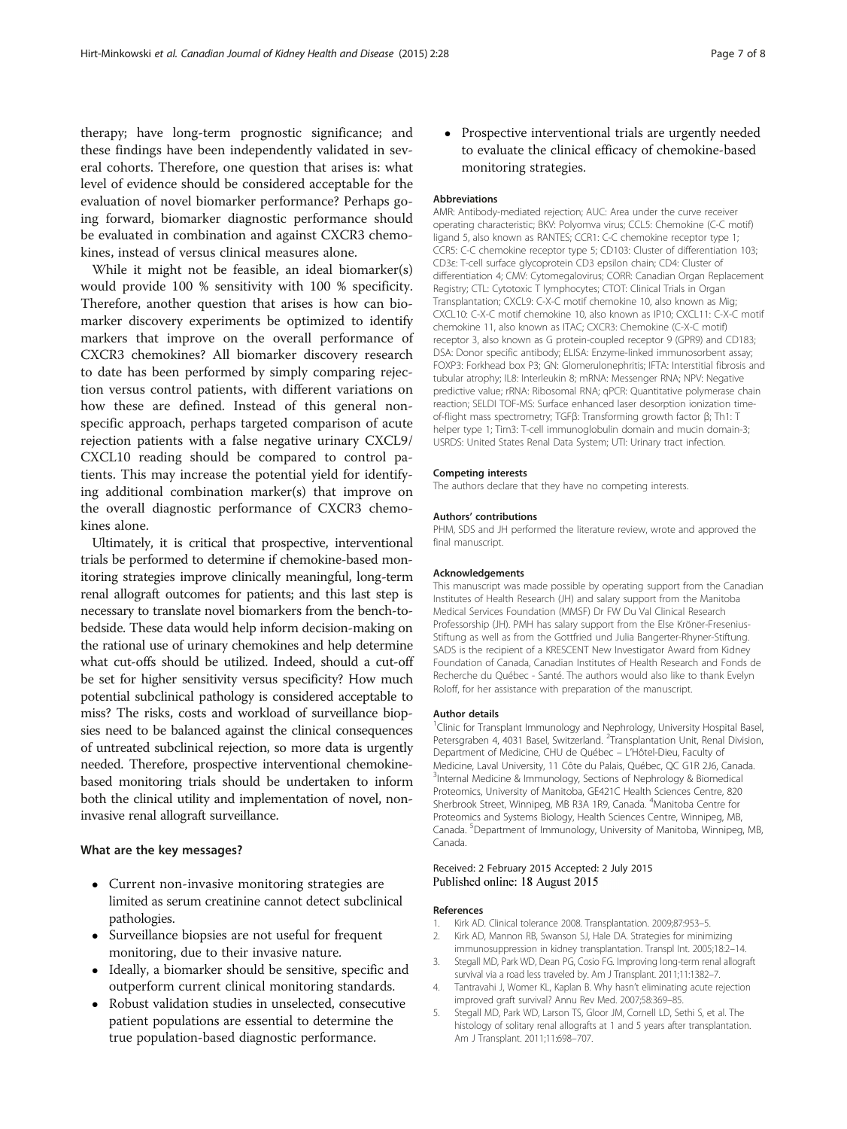<span id="page-6-0"></span>therapy; have long-term prognostic significance; and these findings have been independently validated in several cohorts. Therefore, one question that arises is: what level of evidence should be considered acceptable for the evaluation of novel biomarker performance? Perhaps going forward, biomarker diagnostic performance should be evaluated in combination and against CXCR3 chemokines, instead of versus clinical measures alone.

While it might not be feasible, an ideal biomarker(s) would provide 100 % sensitivity with 100 % specificity. Therefore, another question that arises is how can biomarker discovery experiments be optimized to identify markers that improve on the overall performance of CXCR3 chemokines? All biomarker discovery research to date has been performed by simply comparing rejection versus control patients, with different variations on how these are defined. Instead of this general nonspecific approach, perhaps targeted comparison of acute rejection patients with a false negative urinary CXCL9/ CXCL10 reading should be compared to control patients. This may increase the potential yield for identifying additional combination marker(s) that improve on the overall diagnostic performance of CXCR3 chemokines alone.

Ultimately, it is critical that prospective, interventional trials be performed to determine if chemokine-based monitoring strategies improve clinically meaningful, long-term renal allograft outcomes for patients; and this last step is necessary to translate novel biomarkers from the bench-tobedside. These data would help inform decision-making on the rational use of urinary chemokines and help determine what cut-offs should be utilized. Indeed, should a cut-off be set for higher sensitivity versus specificity? How much potential subclinical pathology is considered acceptable to miss? The risks, costs and workload of surveillance biopsies need to be balanced against the clinical consequences of untreated subclinical rejection, so more data is urgently needed. Therefore, prospective interventional chemokinebased monitoring trials should be undertaken to inform both the clinical utility and implementation of novel, noninvasive renal allograft surveillance.

#### What are the key messages?

- Current non-invasive monitoring strategies are limited as serum creatinine cannot detect subclinical pathologies.
- Surveillance biopsies are not useful for frequent monitoring, due to their invasive nature.
- Ideally, a biomarker should be sensitive, specific and outperform current clinical monitoring standards.
- Robust validation studies in unselected, consecutive patient populations are essential to determine the true population-based diagnostic performance.

 Prospective interventional trials are urgently needed to evaluate the clinical efficacy of chemokine-based monitoring strategies.

#### Abbreviations

AMR: Antibody-mediated rejection; AUC: Area under the curve receiver operating characteristic; BKV: Polyomva virus; CCL5: Chemokine (C-C motif) ligand 5, also known as RANTES; CCR1: C-C chemokine receptor type 1; CCR5: C-C chemokine receptor type 5; CD103: Cluster of differentiation 103; CD3ε: T-cell surface glycoprotein CD3 epsilon chain; CD4: Cluster of differentiation 4; CMV: Cytomegalovirus; CORR: Canadian Organ Replacement Registry; CTL: Cytotoxic T lymphocytes; CTOT: Clinical Trials in Organ Transplantation; CXCL9: C-X-C motif chemokine 10, also known as Mig; CXCL10: C-X-C motif chemokine 10, also known as IP10; CXCL11: C-X-C motif chemokine 11, also known as ITAC; CXCR3: Chemokine (C-X-C motif) receptor 3, also known as G protein-coupled receptor 9 (GPR9) and CD183; DSA: Donor specific antibody; ELISA: Enzyme-linked immunosorbent assay; FOXP3: Forkhead box P3; GN: Glomerulonephritis; IFTA: Interstitial fibrosis and tubular atrophy; IL8: Interleukin 8; mRNA: Messenger RNA; NPV: Negative predictive value; rRNA: Ribosomal RNA; qPCR: Quantitative polymerase chain reaction; SELDI TOF-MS: Surface enhanced laser desorption ionization timeof-flight mass spectrometry; TGFβ: Transforming growth factor β; Th1: T helper type 1; Tim3: T-cell immunoglobulin domain and mucin domain-3; USRDS: United States Renal Data System; UTI: Urinary tract infection.

#### Competing interests

The authors declare that they have no competing interests.

#### Authors' contributions

PHM, SDS and JH performed the literature review, wrote and approved the final manuscript.

#### Acknowledgements

This manuscript was made possible by operating support from the Canadian Institutes of Health Research (JH) and salary support from the Manitoba Medical Services Foundation (MMSF) Dr FW Du Val Clinical Research Professorship (JH). PMH has salary support from the Else Kröner-Fresenius-Stiftung as well as from the Gottfried und Julia Bangerter-Rhyner-Stiftung. SADS is the recipient of a KRESCENT New Investigator Award from Kidney Foundation of Canada, Canadian Institutes of Health Research and Fonds de Recherche du Québec - Santé. The authors would also like to thank Evelyn Roloff, for her assistance with preparation of the manuscript.

#### Author details

<sup>1</sup>Clinic for Transplant Immunology and Nephrology, University Hospital Basel, Petersgraben 4, 4031 Basel, Switzerland. <sup>2</sup>Transplantation Unit, Renal Division Department of Medicine, CHU de Québec – L'Hôtel-Dieu, Faculty of Medicine, Laval University, 11 Côte du Palais, Québec, QC G1R 2J6, Canada. <sup>3</sup>Internal Medicine & Immunology, Sections of Nephrology & Biomedical Proteomics, University of Manitoba, GE421C Health Sciences Centre, 820 Sherbrook Street, Winnipeg, MB R3A 1R9, Canada. <sup>4</sup>Manitoba Centre for Proteomics and Systems Biology, Health Sciences Centre, Winnipeg, MB, Canada. <sup>5</sup>Department of Immunology, University of Manitoba, Winnipeg, MB Canada.

#### Received: 2 February 2015 Accepted: 2 July 2015 Published online: 18 August 2015

#### References

- 1. Kirk AD. Clinical tolerance 2008. Transplantation. 2009;87:953–5.
- 2. Kirk AD, Mannon RB, Swanson SJ, Hale DA. Strategies for minimizing immunosuppression in kidney transplantation. Transpl Int. 2005;18:2–14.
- 3. Stegall MD, Park WD, Dean PG, Cosio FG. Improving long-term renal allograft survival via a road less traveled by. Am J Transplant. 2011;11:1382–7.
- 4. Tantravahi J, Womer KL, Kaplan B. Why hasn't eliminating acute rejection improved graft survival? Annu Rev Med. 2007;58:369–85.
- 5. Stegall MD, Park WD, Larson TS, Gloor JM, Cornell LD, Sethi S, et al. The histology of solitary renal allografts at 1 and 5 years after transplantation. Am J Transplant. 2011;11:698–707.